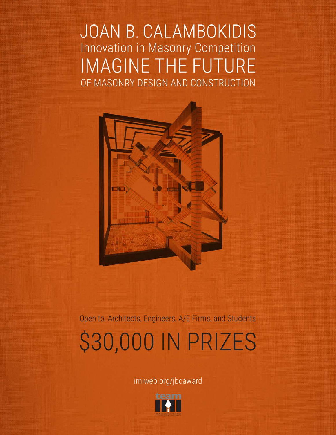## **JOAN B. CALAMBOKIDIS** Innovation in Masonry Competition **IMAGINE THE FUTURE** OF MASONRY DESIGN AND CONSTRUCTION



Open to: Architects, Engineers, A/E Firms, and Students

## \$30,000 IN PRIZES

imiweb.org/jbcaward

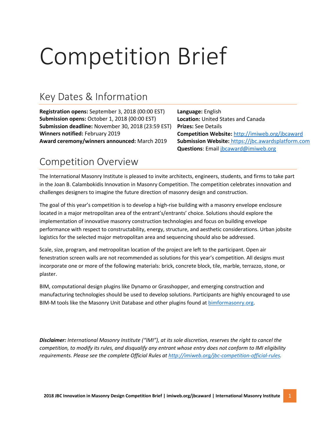# Competition Brief

## Key Dates & Information

**Registration opens:** September 3, 2018 (00:00 EST) **Submission opens:** October 1, 2018 (00:00 EST) **Submission deadline:** November 30, 2018 (23:59 EST) **Winners notified:** February 2019 **Award ceremony/winners announced:** March 2019

**Language:** English **Location:** United States and Canada **Prizes:** See Details **Competition Website:** <http://imiweb.org/jbcaward> **Submission Website:** https://jbc.awardsplatform.com **Questions**: Emai[l jbcaward@imiweb.org](mailto:jbcaward@imiweb.org)

## Competition Overview

The International Masonry Institute is pleased to invite architects, engineers, students, and firms to take part in the Joan B. Calambokidis Innovation in Masonry Competition. The competition celebrates innovation and challenges designers to imagine the future direction of masonry design and construction.

The goal of this year's competition is to develop a high-rise building with a masonry envelope enclosure located in a major metropolitan area of the entrant's/entrants' choice. Solutions should explore the implementation of innovative masonry construction technologies and focus on building envelope performance with respect to constructability, energy, structure, and aesthetic considerations. Urban jobsite logistics for the selected major metropolitan area and sequencing should also be addressed.

Scale, size, program, and metropolitan location of the project are left to the participant. Open air fenestration screen walls are not recommended as solutions for this year's competition. All designs must incorporate one or more of the following materials: brick, concrete block, tile, marble, terrazzo, stone, or plaster.

BIM, computational design plugins like Dynamo or Grasshopper, and emerging construction and manufacturing technologies should be used to develop solutions. Participants are highly encouraged to use BIM-M tools like the Masonry Unit Database and other plugins found a[t bimformasonry.org.](http://bimformasonry.org/)

*Disclaimer: International Masonry Institute ("IMI"), at its sole discretion, reserves the right to cancel the competition, to modify its rules, and disqualify any entrant whose entry does not conform to IMI eligibility requirements. Please see the complete Official Rules at [http://imiweb.org/jbc-competition-official-rules.](http://imiweb.org/jbc-competition-official-rules)*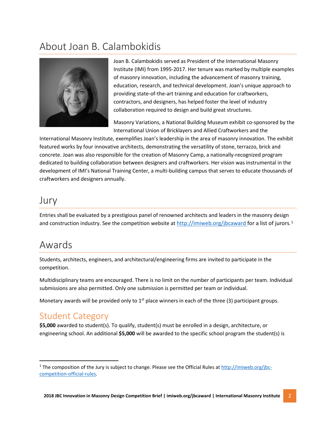## About Joan B. Calambokidis



Joan B. Calambokidis served as President of the International Masonry Institute (IMI) from 1995-2017. Her tenure was marked by multiple examples of masonry innovation, including the advancement of masonry training, education, research, and technical development. Joan's unique approach to providing state-of-the-art training and education for craftworkers, contractors, and designers, has helped foster the level of industry collaboration required to design and build great structures.

Masonry Variations, a National Building Museum exhibit co-sponsored by the International Union of Bricklayers and Allied Craftworkers and the

International Masonry Institute, exemplifies Joan's leadership in the area of masonry innovation. The exhibit featured works by four innovative architects, demonstrating the versatility of stone, terrazzo, brick and concrete. Joan was also responsible for the creation of Masonry Camp, a nationally-recognized program dedicated to building collaboration between designers and craftworkers. Her vision was instrumental in the development of IMI's National Training Center, a multi-building campus that serves to educate thousands of craftworkers and designers annually.

#### Jury

Entries shall be evaluated by a prestigious panel of renowned architects and leaders in the masonry design and construction industry. See the competition website at <http://imiweb.org/jbcaward> for a list of jurors.<sup>[1](#page-2-0)</sup>

## Awards

Students, architects, engineers, and architectural/engineering firms are invited to participate in the competition.

Multidisciplinary teams are encouraged. There is no limit on the number of participants per team. Individual submissions are also permitted. Only one submission is permitted per team or individual.

Monetary awards will be provided only to  $1<sup>st</sup>$  place winners in each of the three (3) participant groups.

#### Student Category

**\$5,000** awarded to student(s). To qualify, student(s) must be enrolled in a design, architecture, or engineering school. An additional **\$5,000** will be awarded to the specific school program the student(s) is

<span id="page-2-0"></span> <sup>1</sup> The composition of the Jury is subject to change. Please see the Official Rules a[t http://imiweb.org/jbc](http://imiweb.org/jbc-competition-official-rules)[competition-official-rules.](http://imiweb.org/jbc-competition-official-rules)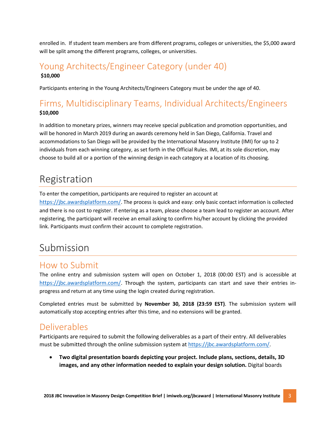enrolled in. If student team members are from different programs, colleges or universities, the \$5,000 award will be split among the different programs, colleges, or universities.

#### Young Architects/Engineer Category (under 40) **\$10,000**

Participants entering in the Young Architects/Engineers Category must be under the age of 40.

#### Firms, Multidisciplinary Teams, Individual Architects/Engineers **\$10,000**

In addition to monetary prizes, winners may receive special publication and promotion opportunities, and will be honored in March 2019 during an awards ceremony held in San Diego, California. Travel and accommodations to San Diego will be provided by the International Masonry Institute (IMI) for up to 2 individuals from each winning category, as set forth in the Official Rules. IMI, at its sole discretion, may choose to build all or a portion of the winning design in each category at a location of its choosing.

## Registration

To enter the competition, participants are required to register an account at

[https://jbc.awardsplatform.com/.](https://jbc.awardsplatform.com/) The process is quick and easy: only basic contact information is collected and there is no cost to register. If entering as a team, please choose a team lead to register an account. After registering, the participant will receive an email asking to confirm his/her account by clicking the provided link. Participants must confirm their account to complete registration.

## Submission

#### How to Submit

The online entry and submission system will open on October 1, 2018 (00:00 EST) and is accessible at [https://jbc.awardsplatform.com/.](https://jbc.awardsplatform.com/) Through the system, participants can start and save their entries inprogress and return at any time using the login created during registration.

Completed entries must be submitted by **November 30, 2018 (23:59 EST)**. The submission system will automatically stop accepting entries after this time, and no extensions will be granted.

### Deliverables

Participants are required to submit the following deliverables as a part of their entry. All deliverables must be submitted through the online submission system at [https://jbc.awardsplatform.com/.](https://jbc.awardsplatform.com/)

• **Two digital presentation boards depicting your project. Include plans, sections, details, 3D images, and any other information needed to explain your design solution.** Digital boards